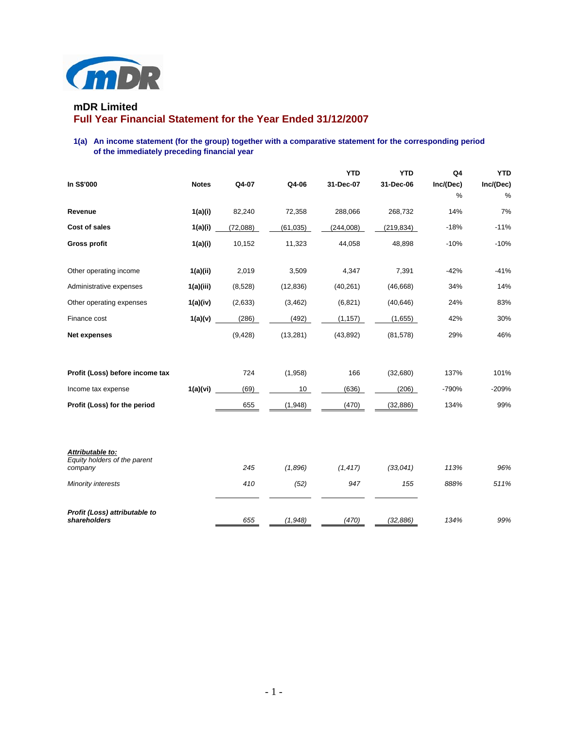

# **mDR Limited Full Year Financial Statement for the Year Ended 31/12/2007**

**1(a) An income statement (for the group) together with a comparative statement for the corresponding period of the immediately preceding financial year** 

| In S\$'000                                                  | <b>Notes</b> | Q4-07    | Q4-06     | <b>YTD</b><br>31-Dec-07 | <b>YTD</b><br>31-Dec-06 | Q4<br>Inc/(Dec)<br>% | <b>YTD</b><br>Inc/(Dec)<br>% |
|-------------------------------------------------------------|--------------|----------|-----------|-------------------------|-------------------------|----------------------|------------------------------|
| Revenue                                                     | 1(a)(i)      | 82,240   | 72,358    | 288,066                 | 268,732                 | 14%                  | 7%                           |
| Cost of sales                                               | 1(a)(i)      | (72,088) | (61, 035) | (244,008)               | (219, 834)              | $-18%$               | $-11%$                       |
| <b>Gross profit</b>                                         | 1(a)(i)      | 10,152   | 11,323    | 44,058                  | 48,898                  | $-10%$               | $-10%$                       |
| Other operating income                                      | 1(a)(ii)     | 2,019    | 3,509     | 4,347                   | 7,391                   | $-42%$               | $-41%$                       |
| Administrative expenses                                     | 1(a)(iii)    | (8,528)  | (12, 836) | (40, 261)               | (46, 668)               | 34%                  | 14%                          |
| Other operating expenses                                    | 1(a)(iv)     | (2,633)  | (3, 462)  | (6,821)                 | (40, 646)               | 24%                  | 83%                          |
| Finance cost                                                | 1(a)(v)      | (286)    | (492)     | (1, 157)                | (1,655)                 | 42%                  | 30%                          |
| <b>Net expenses</b>                                         |              | (9,428)  | (13,281)  | (43, 892)               | (81, 578)               | 29%                  | 46%                          |
| Profit (Loss) before income tax                             |              | 724      | (1,958)   | 166                     | (32,680)                | 137%                 | 101%                         |
| Income tax expense                                          | 1(a)(vi)     | (69)     | 10        | (636)                   | (206)                   | $-790%$              | $-209%$                      |
| Profit (Loss) for the period                                |              | 655      | (1,948)   | (470)                   | (32, 886)               | 134%                 | 99%                          |
| Attributable to:<br>Equity holders of the parent<br>company |              | 245      | (1,896)   | (1, 417)                | (33,041)                | 113%                 | 96%                          |
| Minority interests                                          |              | 410      | (52)      | 947                     | 155                     | 888%                 | 511%                         |
| Profit (Loss) attributable to<br>shareholders               |              | 655      | (1,948)   | (470)                   | (32, 886)               | 134%                 | 99%                          |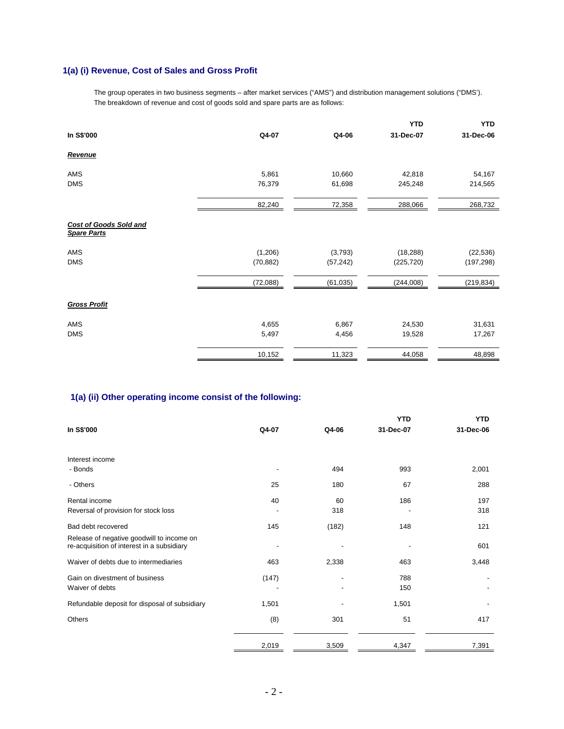## **1(a) (i) Revenue, Cost of Sales and Gross Profit**

The group operates in two business segments – after market services ("AMS") and distribution management solutions ("DMS'). The breakdown of revenue and cost of goods sold and spare parts are as follows:

|                                                     |           |           | <b>YTD</b> | <b>YTD</b> |
|-----------------------------------------------------|-----------|-----------|------------|------------|
| In S\$'000                                          | Q4-07     | Q4-06     | 31-Dec-07  | 31-Dec-06  |
| Revenue                                             |           |           |            |            |
| AMS                                                 | 5,861     | 10,660    | 42,818     | 54,167     |
| <b>DMS</b>                                          | 76,379    | 61,698    | 245,248    | 214,565    |
|                                                     | 82,240    | 72,358    | 288,066    | 268,732    |
| <b>Cost of Goods Sold and</b><br><b>Spare Parts</b> |           |           |            |            |
| AMS                                                 | (1,206)   | (3,793)   | (18, 288)  | (22, 536)  |
| <b>DMS</b>                                          | (70, 882) | (57, 242) | (225, 720) | (197, 298) |
|                                                     | (72,088)  | (61, 035) | (244,008)  | (219, 834) |
| <b>Gross Profit</b>                                 |           |           |            |            |
| AMS                                                 | 4,655     | 6,867     | 24,530     | 31,631     |
| <b>DMS</b>                                          | 5,497     | 4,456     | 19,528     | 17,267     |
|                                                     | 10,152    | 11,323    | 44,058     | 48,898     |

## **1(a) (ii) Other operating income consist of the following:**

|                                                                                         |       |       | <b>YTD</b> | <b>YTD</b> |
|-----------------------------------------------------------------------------------------|-------|-------|------------|------------|
| In S\$'000                                                                              | Q4-07 | Q4-06 | 31-Dec-07  | 31-Dec-06  |
|                                                                                         |       |       |            |            |
| Interest income                                                                         |       |       |            |            |
| - Bonds                                                                                 |       | 494   | 993        | 2,001      |
| - Others                                                                                | 25    | 180   | 67         | 288        |
| Rental income                                                                           | 40    | 60    | 186        | 197        |
| Reversal of provision for stock loss                                                    |       | 318   |            | 318        |
| Bad debt recovered                                                                      | 145   | (182) | 148        | 121        |
| Release of negative goodwill to income on<br>re-acquisition of interest in a subsidiary |       |       |            | 601        |
| Waiver of debts due to intermediaries                                                   | 463   | 2,338 | 463        | 3,448      |
| Gain on divestment of business                                                          | (147) |       | 788        |            |
| Waiver of debts                                                                         |       |       | 150        |            |
| Refundable deposit for disposal of subsidiary                                           | 1,501 |       | 1,501      |            |
| Others                                                                                  | (8)   | 301   | 51         | 417        |
|                                                                                         | 2,019 | 3,509 | 4,347      | 7,391      |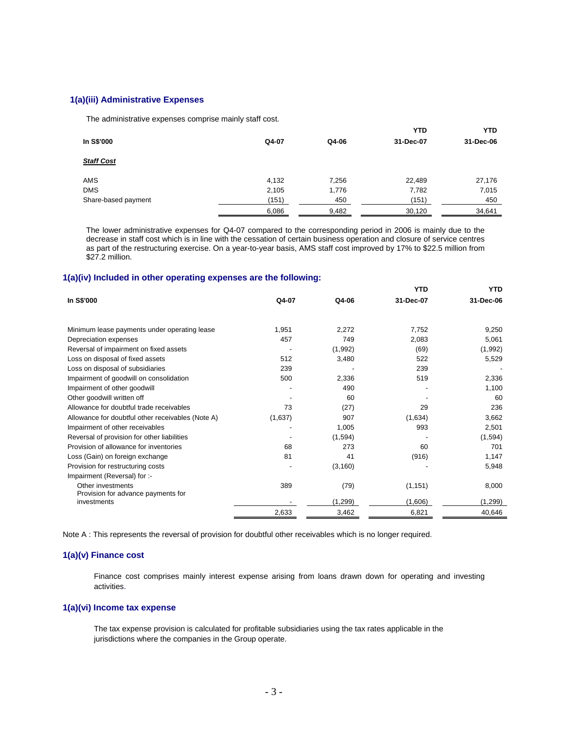#### **1(a)(iii) Administrative Expenses**

The administrative expenses comprise mainly staff cost.

|                     |       |       | <b>YTD</b> | YTD       |
|---------------------|-------|-------|------------|-----------|
| In S\$'000          | Q4-07 | Q4-06 | 31-Dec-07  | 31-Dec-06 |
| <b>Staff Cost</b>   |       |       |            |           |
| AMS                 | 4,132 | 7,256 | 22,489     | 27,176    |
| <b>DMS</b>          | 2,105 | 1,776 | 7,782      | 7,015     |
| Share-based payment | (151) | 450   | (151)      | 450       |
|                     | 6,086 | 9,482 | 30,120     | 34,641    |

 The lower administrative expenses for Q4-07 compared to the corresponding period in 2006 is mainly due to the decrease in staff cost which is in line with the cessation of certain business operation and closure of service centres as part of the restructuring exercise. On a year-to-year basis, AMS staff cost improved by 17% to \$22.5 million from \$27.2 million.

#### **1(a)(iv) Included in other operating expenses are the following:**

|                                                   |         |          | YTD       | YTD       |
|---------------------------------------------------|---------|----------|-----------|-----------|
| In S\$'000                                        | Q4-07   | Q4-06    | 31-Dec-07 | 31-Dec-06 |
|                                                   |         |          |           |           |
| Minimum lease payments under operating lease      | 1,951   | 2,272    | 7,752     | 9,250     |
| Depreciation expenses                             | 457     | 749      | 2,083     | 5,061     |
| Reversal of impairment on fixed assets            |         | (1,992)  | (69)      | (1,992)   |
| Loss on disposal of fixed assets                  | 512     | 3,480    | 522       | 5,529     |
| Loss on disposal of subsidiaries                  | 239     |          | 239       |           |
| Impairment of goodwill on consolidation           | 500     | 2,336    | 519       | 2,336     |
| Impairment of other goodwill                      |         | 490      |           | 1,100     |
| Other goodwill written off                        |         | 60       |           | 60        |
| Allowance for doubtful trade receivables          | 73      | (27)     | 29        | 236       |
| Allowance for doubtful other receivables (Note A) | (1,637) | 907      | (1,634)   | 3,662     |
| Impairment of other receivables                   |         | 1,005    | 993       | 2,501     |
| Reversal of provision for other liabilities       |         | (1,594)  |           | (1,594)   |
| Provision of allowance for inventories            | 68      | 273      | 60        | 701       |
| Loss (Gain) on foreign exchange                   | 81      | 41       | (916)     | 1,147     |
| Provision for restructuring costs                 |         | (3, 160) |           | 5,948     |
| Impairment (Reversal) for :-                      |         |          |           |           |
| Other investments                                 | 389     | (79)     | (1, 151)  | 8,000     |
| Provision for advance payments for                |         |          |           |           |
| investments                                       |         | (1,299)  | (1,606)   | (1, 299)  |
|                                                   | 2,633   | 3,462    | 6,821     | 40,646    |

Note A : This represents the reversal of provision for doubtful other receivables which is no longer required.

## **1(a)(v) Finance cost**

Finance cost comprises mainly interest expense arising from loans drawn down for operating and investing activities.

## **1(a)(vi) Income tax expense**

The tax expense provision is calculated for profitable subsidiaries using the tax rates applicable in the jurisdictions where the companies in the Group operate.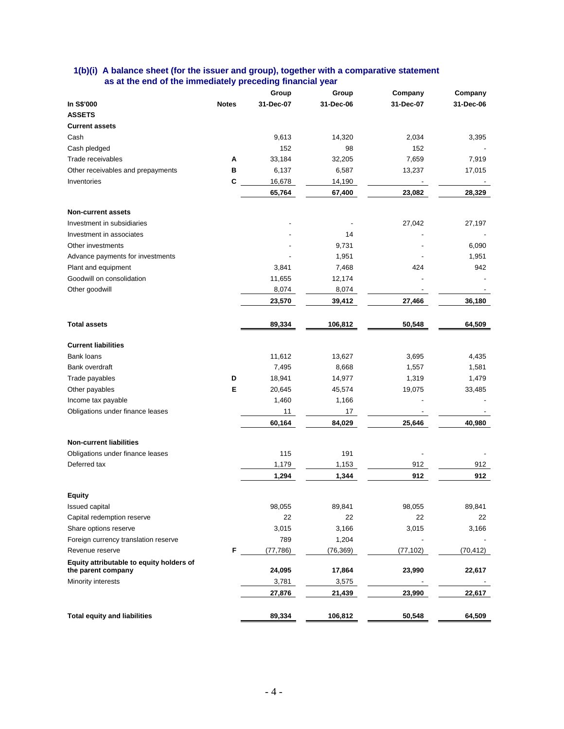|                                          |              | Group     | Group     | Company   | Company   |
|------------------------------------------|--------------|-----------|-----------|-----------|-----------|
| In S\$'000                               | <b>Notes</b> | 31-Dec-07 | 31-Dec-06 | 31-Dec-07 | 31-Dec-06 |
| <b>ASSETS</b>                            |              |           |           |           |           |
| <b>Current assets</b>                    |              |           |           |           |           |
| Cash                                     |              | 9,613     | 14,320    | 2,034     | 3,395     |
| Cash pledged                             |              | 152       | 98        | 152       |           |
| Trade receivables                        | Α            | 33,184    | 32,205    | 7,659     | 7,919     |
| Other receivables and prepayments        | в            | 6,137     | 6,587     | 13,237    | 17,015    |
| Inventories                              | C            | 16,678    | 14,190    |           |           |
|                                          |              | 65,764    | 67,400    | 23,082    | 28,329    |
| <b>Non-current assets</b>                |              |           |           |           |           |
| Investment in subsidiaries               |              |           |           | 27,042    | 27,197    |
| Investment in associates                 |              |           | 14        |           |           |
| Other investments                        |              |           | 9,731     |           | 6,090     |
| Advance payments for investments         |              |           | 1,951     |           | 1,951     |
| Plant and equipment                      |              | 3,841     | 7,468     | 424       | 942       |
| Goodwill on consolidation                |              | 11,655    | 12,174    |           |           |
| Other goodwill                           |              | 8,074     | 8,074     |           |           |
|                                          |              | 23,570    | 39,412    | 27,466    | 36,180    |
| <b>Total assets</b>                      |              | 89,334    | 106,812   | 50,548    | 64,509    |
| <b>Current liabilities</b>               |              |           |           |           |           |
| <b>Bank loans</b>                        |              | 11,612    | 13,627    | 3,695     | 4,435     |
| Bank overdraft                           |              | 7,495     | 8,668     | 1,557     | 1,581     |
| Trade payables                           | D            | 18,941    | 14,977    | 1,319     | 1,479     |
| Other payables                           | Е            | 20,645    | 45,574    | 19,075    | 33,485    |
| Income tax payable                       |              | 1,460     | 1,166     |           |           |
| Obligations under finance leases         |              | 11        | 17        |           |           |
|                                          |              | 60,164    | 84,029    | 25,646    | 40,980    |
| <b>Non-current liabilities</b>           |              |           |           |           |           |
| Obligations under finance leases         |              | 115       | 191       |           |           |
| Deferred tax                             |              | 1,179     | 1,153     | 912       | 912       |
|                                          |              | 1,294     | 1,344     | 912       | 912       |
| <b>Equity</b>                            |              |           |           |           |           |
| Issued capital                           |              | 98,055    | 89,841    | 98,055    | 89,841    |
| Capital redemption reserve               |              | 22        | 22        | 22        | 22        |
| Share options reserve                    |              | 3,015     | 3,166     | 3,015     | 3,166     |
| Foreign currency translation reserve     |              | 789       | 1,204     |           |           |
| Revenue reserve                          | F            | (77, 786) | (76, 369) | (77, 102) | (70, 412) |
| Equity attributable to equity holders of |              |           |           |           |           |
| the parent company                       |              | 24,095    | 17,864    | 23,990    | 22,617    |
| Minority interests                       |              | 3,781     | 3,575     |           |           |
|                                          |              | 27,876    | 21,439    | 23,990    | 22,617    |
| <b>Total equity and liabilities</b>      |              | 89,334    | 106,812   | 50,548    | 64,509    |

### **1(b)(i) A balance sheet (for the issuer and group), together with a comparative statement as at the end of the immediately preceding financial year**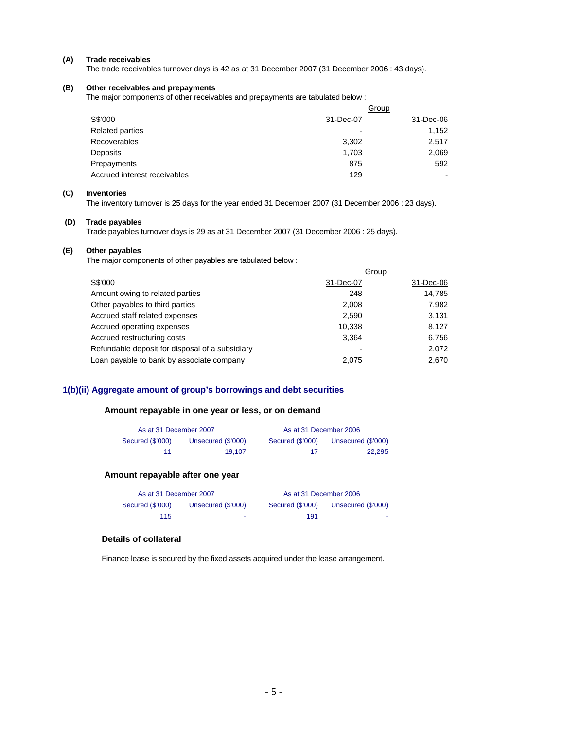#### **(A) Trade receivables**

The trade receivables turnover days is 42 as at 31 December 2007 (31 December 2006 : 43 days).

#### **(B) Other receivables and prepayments**

The major components of other receivables and prepayments are tabulated below :

|                              |           | Group     |
|------------------------------|-----------|-----------|
| S\$'000                      | 31-Dec-07 | 31-Dec-06 |
| Related parties              |           | 1,152     |
| Recoverables                 | 3,302     | 2.517     |
| Deposits                     | 1,703     | 2,069     |
| Prepayments                  | 875       | 592       |
| Accrued interest receivables | 129       |           |

#### **(C) Inventories**

The inventory turnover is 25 days for the year ended 31 December 2007 (31 December 2006 : 23 days).

## **(D) Trade payables**

Trade payables turnover days is 29 as at 31 December 2007 (31 December 2006 : 25 days).

#### **(E) Other payables**

The major components of other payables are tabulated below :

|                                                 |           | Group     |
|-------------------------------------------------|-----------|-----------|
| S\$'000                                         | 31-Dec-07 | 31-Dec-06 |
| Amount owing to related parties                 | 248       | 14,785    |
| Other payables to third parties                 | 2.008     | 7,982     |
| Accrued staff related expenses                  | 2,590     | 3,131     |
| Accrued operating expenses                      | 10,338    | 8,127     |
| Accrued restructuring costs                     | 3.364     | 6,756     |
| Refundable deposit for disposal of a subsidiary |           | 2,072     |
| Loan payable to bank by associate company       | 2,075     | 2,670     |

## **1(b)(ii) Aggregate amount of group's borrowings and debt securities**

## **Amount repayable in one year or less, or on demand**

| As at 31 December 2007 |                    | As at 31 December 2006 |                    |
|------------------------|--------------------|------------------------|--------------------|
| Secured (\$'000)       | Unsecured (\$'000) | Secured (\$'000)       | Unsecured (\$'000) |
| 11                     | 19.107             | 17                     | 22.295             |

## **Amount repayable after one year**

| As at 31 December 2007 |                    | As at 31 December 2006 |                    |
|------------------------|--------------------|------------------------|--------------------|
| Secured (\$'000)       | Unsecured (\$'000) | Secured (\$'000)       | Unsecured (\$'000) |
| 115                    | ۰                  | 191                    |                    |

## **Details of collateral**

Finance lease is secured by the fixed assets acquired under the lease arrangement.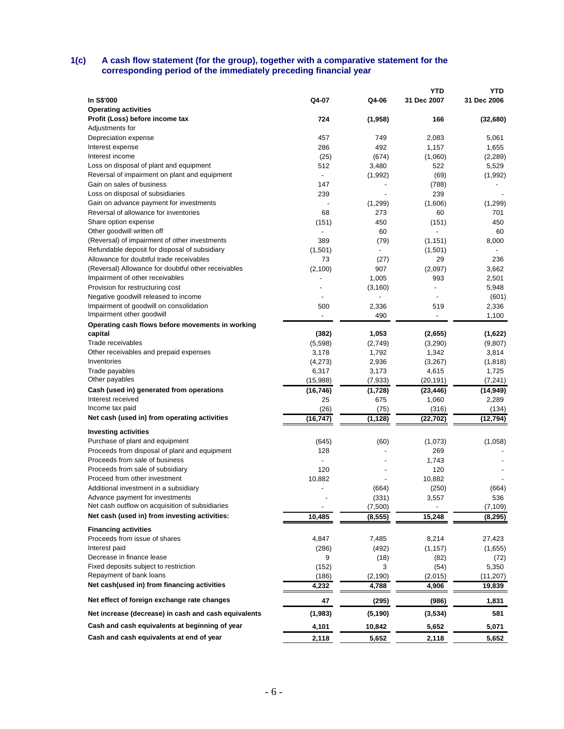### **1(c) A cash flow statement (for the group), together with a comparative statement for the corresponding period of the immediately preceding financial year**

|                                                      |                |                          | <b>YTD</b>               | <b>YTD</b>  |
|------------------------------------------------------|----------------|--------------------------|--------------------------|-------------|
| In S\$'000                                           | Q4-07          | Q4-06                    | 31 Dec 2007              | 31 Dec 2006 |
| <b>Operating activities</b>                          |                |                          |                          |             |
| Profit (Loss) before income tax                      | 724            | (1,958)                  | 166                      | (32, 680)   |
| Adjustments for                                      |                |                          |                          |             |
| Depreciation expense                                 | 457            | 749                      | 2,083                    | 5,061       |
| Interest expense                                     | 286            | 492                      | 1,157                    | 1,655       |
| Interest income                                      | (25)           | (674)                    | (1,060)                  | (2, 289)    |
| Loss on disposal of plant and equipment              | 512            | 3,480                    | 522                      | 5,529       |
| Reversal of impairment on plant and equipment        |                | (1,992)                  | (69)                     | (1,992)     |
| Gain on sales of business                            | 147            |                          | (788)                    |             |
| Loss on disposal of subsidiaries                     | 239            | $\overline{\phantom{a}}$ | 239                      |             |
| Gain on advance payment for investments              |                | (1,299)                  | (1,606)                  | (1,299)     |
| Reversal of allowance for inventories                | 68             | 273                      | 60                       | 701         |
| Share option expense                                 | (151)          | 450                      | (151)                    | 450         |
| Other goodwill written off                           |                | 60                       |                          | 60          |
| (Reversal) of impairment of other investments        | 389            | (79)                     | (1, 151)                 | 8,000       |
| Refundable deposit for disposal of subsidiary        | (1,501)        |                          | (1,501)                  |             |
| Allowance for doubtful trade receivables             | 73             | (27)                     | 29                       | 236         |
| (Reversal) Allowance for doubtful other receivables  | (2,100)        | 907                      | (2,097)                  | 3,662       |
| Impairment of other receivables                      |                | 1,005                    | 993                      | 2,501       |
| Provision for restructuring cost                     |                | (3, 160)                 | ÷,                       | 5,948       |
| Negative goodwill released to income                 |                | $\overline{\phantom{0}}$ |                          | (601)       |
| Impairment of goodwill on consolidation              | 500            | 2,336                    | 519                      | 2,336       |
| Impairment other goodwill                            | $\overline{a}$ | 490                      | $\overline{\phantom{a}}$ | 1,100       |
| Operating cash flows before movements in working     |                |                          |                          |             |
| capital                                              | (382)          | 1,053                    | (2,655)                  | (1,622)     |
| Trade receivables                                    | (5,598)        | (2,749)                  | (3,290)                  | (9,807)     |
| Other receivables and prepaid expenses               | 3,178          | 1,792                    | 1,342                    | 3,814       |
| Inventories                                          | (4,273)        | 2,936                    | (3,267)                  | (1,818)     |
| Trade payables                                       | 6,317          | 3,173                    | 4,615                    | 1,725       |
| Other payables                                       | (15,988)       | (7,933)                  | (20, 191)                | (7, 241)    |
| Cash (used in) generated from operations             | (16, 746)      | (1,728)                  | (23, 446)                | (14, 949)   |
| Interest received                                    | 25             | 675                      | 1,060                    | 2,289       |
| Income tax paid                                      | (26)           | (75)                     | (316)                    | (134)       |
| Net cash (used in) from operating activities         | (16, 747)      | (1, 128)                 | (22, 702)                | (12, 794)   |
| <b>Investing activities</b>                          |                |                          |                          |             |
| Purchase of plant and equipment                      | (645)          | (60)                     | (1,073)                  | (1,058)     |
| Proceeds from disposal of plant and equipment        | 128            |                          | 269                      |             |
| Proceeds from sale of business                       |                | ÷,                       | 1,743                    |             |
| Proceeds from sale of subsidiary                     | 120            |                          | 120                      |             |
| Proceed from other investment                        | 10,882         |                          | 10,882                   |             |
| Additional investment in a subsidiary                |                | (664)                    | (250)                    | (664)       |
| Advance pavment for investments                      |                | (331)                    | 3,557                    | 536         |
| Net cash outflow on acquisition of subsidiaries      |                | (7,500)                  |                          | (7, 109)    |
| Net cash (used in) from investing activities:        | 10,485         | (8, 555)                 | 15,248                   | (8, 295)    |
|                                                      |                |                          |                          |             |
| <b>Financing activities</b>                          |                |                          |                          |             |
| Proceeds from issue of shares                        | 4,847          | 7,485                    | 8,214                    | 27,423      |
| Interest paid                                        | (286)          | (492)                    | (1, 157)                 | (1,655)     |
| Decrease in finance lease                            | 9              | (18)                     | (82)                     | (72)        |
| Fixed deposits subject to restriction                | (152)          | 3                        | (54)                     | 5,350       |
| Repayment of bank loans                              | (186)          | (2, 190)                 | (2,015)                  | (11, 207)   |
| Net cash(used in) from financing activities          | 4,232          | 4,788                    | 4,906                    | 19,839      |
| Net effect of foreign exchange rate changes          | 47             | (295)                    | (986)                    | 1,831       |
| Net increase (decrease) in cash and cash equivalents | (1,983)        | (5, 190)                 | (3, 534)                 | 581         |
| Cash and cash equivalents at beginning of year       | 4,101          | 10,842                   | 5,652                    | 5,071       |
| Cash and cash equivalents at end of year             | 2,118          | 5,652                    | 2,118                    | 5,652       |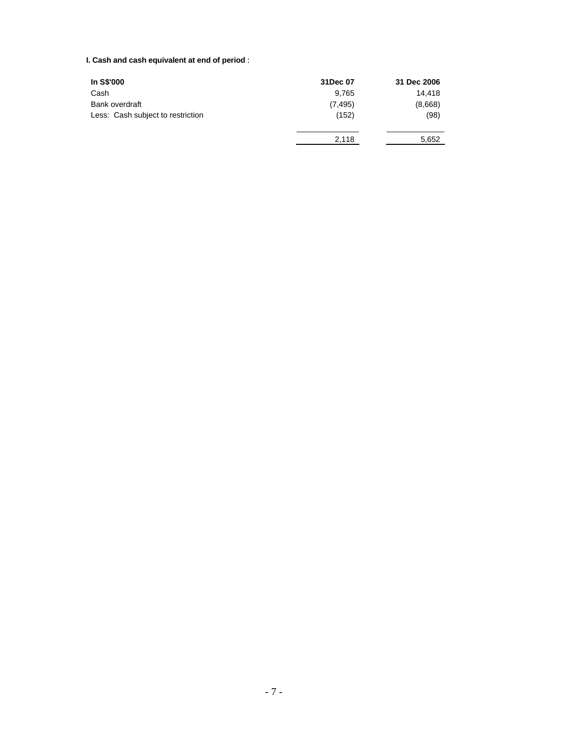## **I. Cash and cash equivalent at end of period** :

| In S\$'000                        | 31Dec 07 | 31 Dec 2006 |
|-----------------------------------|----------|-------------|
| Cash                              | 9.765    | 14.418      |
| Bank overdraft                    | (7, 495) | (8,668)     |
| Less: Cash subject to restriction | (152)    | (98)        |
|                                   | 2.118    | 5,652       |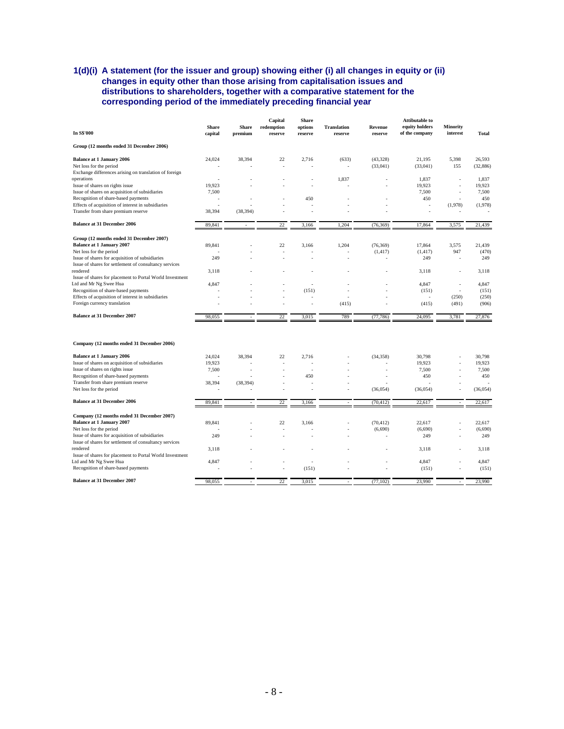## **1(d)(i) A statement (for the issuer and group) showing either (i) all changes in equity or (ii) changes in equity other than those arising from capitalisation issues and distributions to shareholders, together with a comparative statement for the corresponding period of the immediately preceding financial year**

| In S\$'000                                                           | Share<br>capital | <b>Share</b><br>premium | Capital<br>redemption<br>reserve | <b>Share</b><br>options<br>reserve | <b>Translation</b><br>reserve | Revenue<br>reserve | <b>Attibutable to</b><br>equity holders<br>of the company | <b>Minority</b><br>interest | <b>Total</b> |
|----------------------------------------------------------------------|------------------|-------------------------|----------------------------------|------------------------------------|-------------------------------|--------------------|-----------------------------------------------------------|-----------------------------|--------------|
| Group (12 months ended 31 December 2006)                             |                  |                         |                                  |                                    |                               |                    |                                                           |                             |              |
| <b>Balance at 1 January 2006</b>                                     | 24,024           | 38,394                  | 22                               | 2,716                              | (633)                         | (43, 328)          | 21,195                                                    | 5,398                       | 26,593       |
| Net loss for the period                                              |                  |                         | ÷,                               |                                    | ÷,                            | (33,041)           | (33,041)                                                  | 155                         | (32, 886)    |
| Exchange differences arising on translation of foreign<br>operations |                  |                         |                                  | ÷,                                 | 1,837                         |                    | 1,837                                                     |                             | 1.837        |
| Issue of shares on rights issue                                      | 19,923           |                         |                                  | ÷                                  |                               |                    | 19,923                                                    |                             | 19,923       |
| Issue of shares on acquisition of subsidiaries                       | 7,500            |                         |                                  |                                    |                               |                    | 7,500                                                     |                             | 7,500        |
| Recognition of share-based payments                                  | ÷,               |                         |                                  | 450                                |                               |                    | 450                                                       |                             | 450          |
| Effects of acquisition of interest in subsidiaries                   |                  |                         |                                  |                                    |                               |                    | ż                                                         | (1,978)                     | (1,978)      |
| Transfer from share premium reserve                                  | 38,394           | (38, 394)               |                                  |                                    |                               |                    |                                                           |                             |              |
| <b>Balance at 31 December 2006</b>                                   | 89,841           |                         | 22                               | 3,166                              | 1,204                         | (76, 369)          | 17,864                                                    | 3,575                       | 21,439       |
| Group (12 months ended 31 December 2007)                             |                  |                         |                                  |                                    |                               |                    |                                                           |                             |              |
| Balance at 1 January 2007                                            | 89,841           |                         | 22                               | 3,166                              | 1,204                         | (76, 369)          | 17,864                                                    | 3,575                       | 21,439       |
| Net loss for the period                                              |                  |                         | ÷.                               |                                    |                               | (1, 417)           | (1, 417)                                                  | 947                         | (470)        |
| Issue of shares for acquisition of subsidiaries                      | 249              |                         |                                  |                                    | ä,                            |                    | 249                                                       |                             | 249          |
| Issue of shares for settlement of consultancy services<br>rendered   |                  |                         |                                  |                                    |                               |                    |                                                           |                             |              |
| Issue of shares for placement to Portal World Investment             | 3,118            |                         |                                  |                                    |                               |                    | 3,118                                                     |                             | 3,118        |
| Ltd and Mr Ng Swee Hua                                               | 4,847            |                         |                                  |                                    |                               |                    | 4,847                                                     |                             | 4,847        |
| Recognition of share-based payments                                  |                  |                         |                                  | (151)                              |                               |                    | (151)                                                     | ×.                          | (151)        |
| Effects of acquisition of interest in subsidiaries                   |                  |                         |                                  |                                    |                               |                    | ÷,                                                        | (250)                       | (250)        |
| Foreign currency translation                                         |                  |                         |                                  |                                    | (415)                         |                    | (415)                                                     | (491)                       | (906)        |
| Balance at 31 December 2007                                          | 98,055           |                         | 22                               | 3,015                              | 789                           | (77, 786)          | 24,095                                                    | 3,781                       | 27,876       |
|                                                                      |                  |                         |                                  |                                    |                               |                    |                                                           |                             |              |
| Company (12 months ended 31 December 2006)                           |                  |                         |                                  |                                    |                               |                    |                                                           |                             |              |
| <b>Balance at 1 January 2006</b>                                     | 24,024           | 38.394                  | 22                               | 2.716                              |                               | (34, 358)          | 30.798                                                    |                             | 30.798       |
| Issue of shares on acquisition of subsidiaries                       | 19,923           |                         |                                  |                                    |                               |                    | 19,923                                                    |                             | 19,923       |
| Issue of shares on rights issue                                      | 7,500            |                         |                                  | ÷                                  |                               |                    | 7,500                                                     |                             | 7,500        |
| Recognition of share-based payments                                  |                  |                         |                                  | 450                                |                               |                    | 450                                                       |                             | 450          |
| Transfer from share premium reserve<br>Net loss for the period       | 38,394           | (38, 394)               |                                  |                                    |                               | (36, 054)          | (36, 054)                                                 |                             | (36, 054)    |
|                                                                      |                  |                         |                                  |                                    |                               |                    |                                                           |                             |              |
| <b>Balance at 31 December 2006</b>                                   | 89,841           |                         | 22                               | 3,166                              |                               | (70, 412)          | 22,617                                                    |                             | 22,617       |
| Company (12 months ended 31 December 2007)                           |                  |                         |                                  |                                    |                               |                    |                                                           |                             |              |
| Balance at 1 January 2007                                            | 89,841           |                         | 22                               | 3.166                              |                               | (70, 412)          | 22.617                                                    |                             | 22.617       |
| Net loss for the period                                              |                  |                         |                                  |                                    | ٠                             | (6,690)            | (6,690)                                                   |                             | (6,690)      |
| Issue of shares for acquisition of subsidiaries                      | 249              |                         |                                  |                                    |                               |                    | 249                                                       |                             | 249          |
| Issue of shares for settlement of consultancy services<br>rendered   |                  |                         |                                  |                                    |                               |                    |                                                           |                             | 3.118        |
| Issue of shares for placement to Portal World Investment             | 3,118            |                         |                                  |                                    |                               |                    | 3,118                                                     |                             |              |
| Ltd and Mr Ng Swee Hua                                               | 4,847            |                         |                                  |                                    |                               |                    | 4,847                                                     |                             | 4,847        |
| Recognition of share-based payments                                  |                  |                         |                                  | (151)                              |                               |                    | (151)                                                     |                             | (151)        |
| <b>Balance at 31 December 2007</b>                                   | 98,055           |                         | 22                               | 3,015                              |                               | (77, 102)          | 23,990                                                    |                             | 23,990       |
|                                                                      |                  |                         |                                  |                                    |                               |                    |                                                           |                             |              |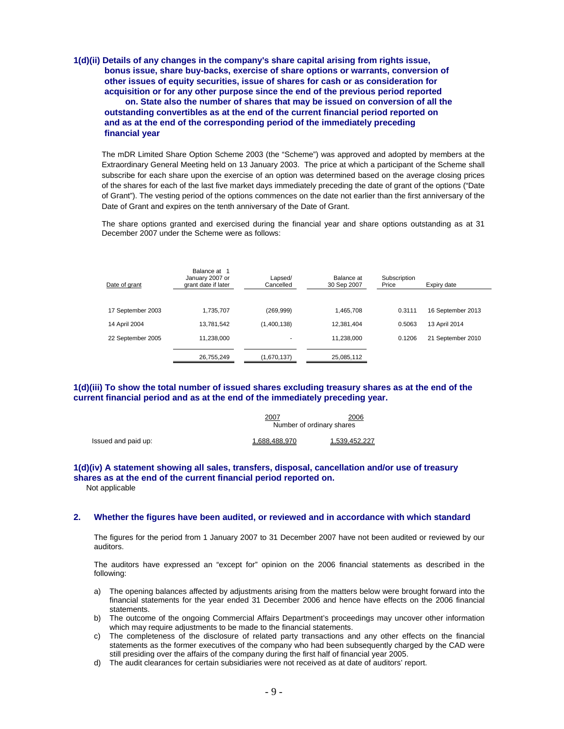**1(d)(ii) Details of any changes in the company's share capital arising from rights issue, bonus issue, share buy-backs, exercise of share options or warrants, conversion of other issues of equity securities, issue of shares for cash or as consideration for acquisition or for any other purpose since the end of the previous period reported on. State also the number of shares that may be issued on conversion of all the outstanding convertibles as at the end of the current financial period reported on and as at the end of the corresponding period of the immediately preceding financial year** 

The mDR Limited Share Option Scheme 2003 (the "Scheme") was approved and adopted by members at the Extraordinary General Meeting held on 13 January 2003. The price at which a participant of the Scheme shall subscribe for each share upon the exercise of an option was determined based on the average closing prices of the shares for each of the last five market days immediately preceding the date of grant of the options ("Date of Grant"). The vesting period of the options commences on the date not earlier than the first anniversary of the Date of Grant and expires on the tenth anniversary of the Date of Grant.

The share options granted and exercised during the financial year and share options outstanding as at 31 December 2007 under the Scheme were as follows:

| Date of grant     | Balance at 1<br>January 2007 or<br>grant date if later | Lapsed/<br>Cancelled | Balance at<br>30 Sep 2007 | Subscription<br>Price | Expiry date       |
|-------------------|--------------------------------------------------------|----------------------|---------------------------|-----------------------|-------------------|
|                   |                                                        |                      |                           |                       |                   |
| 17 September 2003 | 1.735.707                                              | (269, 999)           | 1.465.708                 | 0.3111                | 16 September 2013 |
| 14 April 2004     | 13,781,542                                             | (1,400,138)          | 12.381.404                | 0.5063                | 13 April 2014     |
| 22 September 2005 | 11,238,000                                             |                      | 11,238,000                | 0.1206                | 21 September 2010 |
|                   | 26,755,249                                             | (1,670,137)          | 25,085,112                |                       |                   |

## **1(d)(iii) To show the total number of issued shares excluding treasury shares as at the end of the current financial period and as at the end of the immediately preceding year.**

|                     | 2007                      | 2006          |
|---------------------|---------------------------|---------------|
|                     | Number of ordinary shares |               |
| Issued and paid up: | 1.688.488.970             | 1.539.452.227 |

#### **1(d)(iv) A statement showing all sales, transfers, disposal, cancellation and/or use of treasury shares as at the end of the current financial period reported on.**  Not applicable

#### **2. Whether the figures have been audited, or reviewed and in accordance with which standard**

The figures for the period from 1 January 2007 to 31 December 2007 have not been audited or reviewed by our auditors.

The auditors have expressed an "except for" opinion on the 2006 financial statements as described in the following:

- a) The opening balances affected by adjustments arising from the matters below were brought forward into the financial statements for the year ended 31 December 2006 and hence have effects on the 2006 financial statements.
- b) The outcome of the ongoing Commercial Affairs Department's proceedings may uncover other information which may require adjustments to be made to the financial statements.
- c) The completeness of the disclosure of related party transactions and any other effects on the financial statements as the former executives of the company who had been subsequently charged by the CAD were still presiding over the affairs of the company during the first half of financial year 2005.
- d) The audit clearances for certain subsidiaries were not received as at date of auditors' report.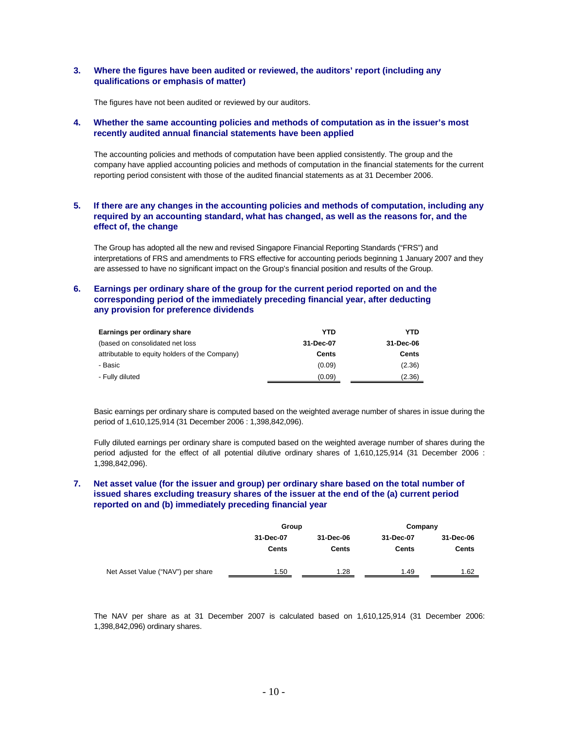### **3. Where the figures have been audited or reviewed, the auditors' report (including any qualifications or emphasis of matter)**

The figures have not been audited or reviewed by our auditors.

### **4. Whether the same accounting policies and methods of computation as in the issuer's most recently audited annual financial statements have been applied**

The accounting policies and methods of computation have been applied consistently. The group and the company have applied accounting policies and methods of computation in the financial statements for the current reporting period consistent with those of the audited financial statements as at 31 December 2006.

## **5. If there are any changes in the accounting policies and methods of computation, including any required by an accounting standard, what has changed, as well as the reasons for, and the effect of, the change**

The Group has adopted all the new and revised Singapore Financial Reporting Standards ("FRS") and interpretations of FRS and amendments to FRS effective for accounting periods beginning 1 January 2007 and they are assessed to have no significant impact on the Group's financial position and results of the Group.

## **6. Earnings per ordinary share of the group for the current period reported on and the corresponding period of the immediately preceding financial year, after deducting any provision for preference dividends**

| Earnings per ordinary share                    | <b>YTD</b> | <b>YTD</b> |
|------------------------------------------------|------------|------------|
| (based on consolidated net loss)               | 31-Dec-07  | 31-Dec-06  |
| attributable to equity holders of the Company) | Cents      | Cents      |
| - Basic                                        | (0.09)     | (2.36)     |
| - Fully diluted                                | (0.09)     | (2.36)     |

Basic earnings per ordinary share is computed based on the weighted average number of shares in issue during the period of 1,610,125,914 (31 December 2006 : 1,398,842,096).

Fully diluted earnings per ordinary share is computed based on the weighted average number of shares during the period adjusted for the effect of all potential dilutive ordinary shares of 1,610,125,914 (31 December 2006 : 1,398,842,096).

## **7. Net asset value (for the issuer and group) per ordinary share based on the total number of issued shares excluding treasury shares of the issuer at the end of the (a) current period reported on and (b) immediately preceding financial year**

|                                   | Group        |           | Company      |              |  |
|-----------------------------------|--------------|-----------|--------------|--------------|--|
|                                   | 31-Dec-07    | 31-Dec-06 | 31-Dec-07    | 31-Dec-06    |  |
|                                   | <b>Cents</b> | Cents     | <b>Cents</b> | <b>Cents</b> |  |
| Net Asset Value ("NAV") per share | 1.50         | 1.28      | 1.49         | 1.62         |  |

The NAV per share as at 31 December 2007 is calculated based on 1,610,125,914 (31 December 2006: 1,398,842,096) ordinary shares.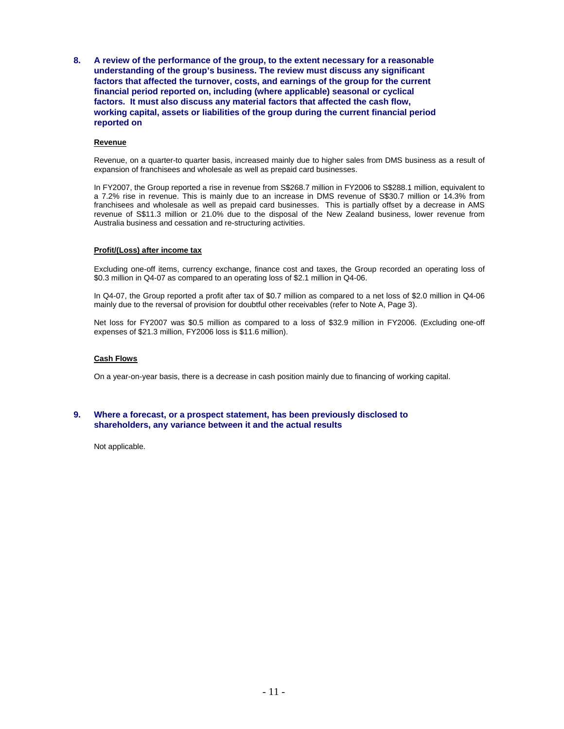**8. A review of the performance of the group, to the extent necessary for a reasonable understanding of the group's business. The review must discuss any significant factors that affected the turnover, costs, and earnings of the group for the current financial period reported on, including (where applicable) seasonal or cyclical factors. It must also discuss any material factors that affected the cash flow, working capital, assets or liabilities of the group during the current financial period reported on** 

#### **Revenue**

Revenue, on a quarter-to quarter basis, increased mainly due to higher sales from DMS business as a result of expansion of franchisees and wholesale as well as prepaid card businesses.

In FY2007, the Group reported a rise in revenue from S\$268.7 million in FY2006 to S\$288.1 million, equivalent to a 7.2% rise in revenue. This is mainly due to an increase in DMS revenue of S\$30.7 million or 14.3% from franchisees and wholesale as well as prepaid card businesses. This is partially offset by a decrease in AMS revenue of S\$11.3 million or 21.0% due to the disposal of the New Zealand business, lower revenue from Australia business and cessation and re-structuring activities.

#### **Profit/(Loss) after income tax**

Excluding one-off items, currency exchange, finance cost and taxes, the Group recorded an operating loss of \$0.3 million in Q4-07 as compared to an operating loss of \$2.1 million in Q4-06.

In Q4-07, the Group reported a profit after tax of \$0.7 million as compared to a net loss of \$2.0 million in Q4-06 mainly due to the reversal of provision for doubtful other receivables (refer to Note A, Page 3).

Net loss for FY2007 was \$0.5 million as compared to a loss of \$32.9 million in FY2006. (Excluding one-off expenses of \$21.3 million, FY2006 loss is \$11.6 million).

#### **Cash Flows**

On a year-on-year basis, there is a decrease in cash position mainly due to financing of working capital.

### **9. Where a forecast, or a prospect statement, has been previously disclosed to shareholders, any variance between it and the actual results**

Not applicable.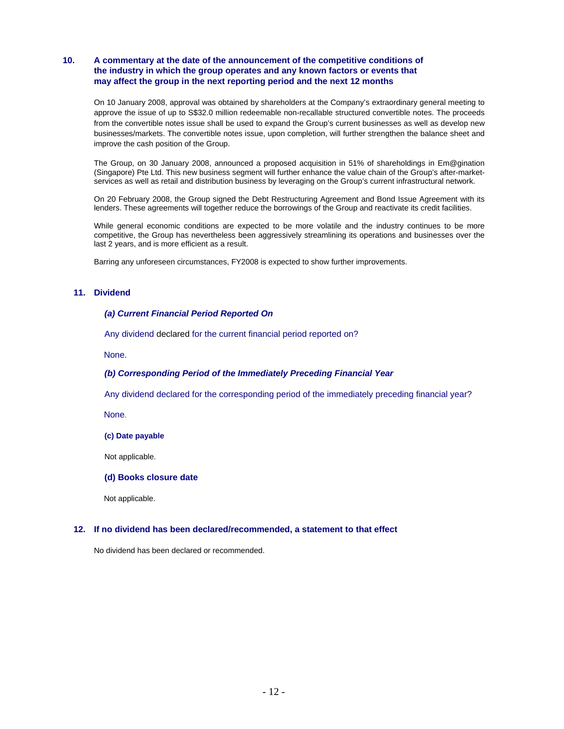## **10. A commentary at the date of the announcement of the competitive conditions of the industry in which the group operates and any known factors or events that may affect the group in the next reporting period and the next 12 months**

On 10 January 2008, approval was obtained by shareholders at the Company's extraordinary general meeting to approve the issue of up to S\$32.0 million redeemable non-recallable structured convertible notes. The proceeds from the convertible notes issue shall be used to expand the Group's current businesses as well as develop new businesses/markets. The convertible notes issue, upon completion, will further strengthen the balance sheet and improve the cash position of the Group.

The Group, on 30 January 2008, announced a proposed acquisition in 51% of shareholdings in Em@gination (Singapore) Pte Ltd. This new business segment will further enhance the value chain of the Group's after-marketservices as well as retail and distribution business by leveraging on the Group's current infrastructural network.

On 20 February 2008, the Group signed the Debt Restructuring Agreement and Bond Issue Agreement with its lenders. These agreements will together reduce the borrowings of the Group and reactivate its credit facilities.

While general economic conditions are expected to be more volatile and the industry continues to be more competitive, the Group has nevertheless been aggressively streamlining its operations and businesses over the last 2 years, and is more efficient as a result.

Barring any unforeseen circumstances, FY2008 is expected to show further improvements.

#### **11. Dividend**

#### *(a) Current Financial Period Reported On*

Any dividend declared for the current financial period reported on?

None.

#### *(b) Corresponding Period of the Immediately Preceding Financial Year*

Any dividend declared for the corresponding period of the immediately preceding financial year?

None.

**(c) Date payable** 

Not applicable.

#### **(d) Books closure date**

Not applicable.

#### **12. If no dividend has been declared/recommended, a statement to that effect**

No dividend has been declared or recommended.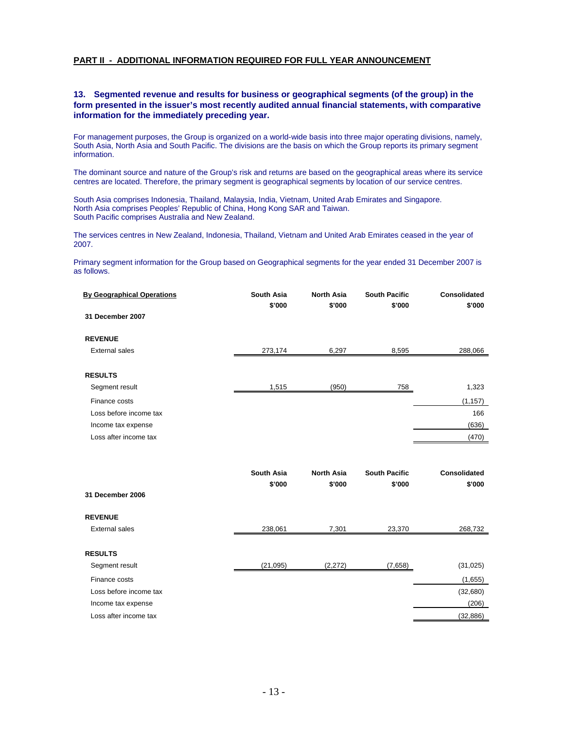## **PART II - ADDITIONAL INFORMATION REQUIRED FOR FULL YEAR ANNOUNCEMENT**

## **13. Segmented revenue and results for business or geographical segments (of the group) in the form presented in the issuer's most recently audited annual financial statements, with comparative information for the immediately preceding year.**

For management purposes, the Group is organized on a world-wide basis into three major operating divisions, namely, South Asia, North Asia and South Pacific. The divisions are the basis on which the Group reports its primary segment information.

The dominant source and nature of the Group's risk and returns are based on the geographical areas where its service centres are located. Therefore, the primary segment is geographical segments by location of our service centres.

South Asia comprises Indonesia, Thailand, Malaysia, India, Vietnam, United Arab Emirates and Singapore. North Asia comprises Peoples' Republic of China, Hong Kong SAR and Taiwan. South Pacific comprises Australia and New Zealand.

The services centres in New Zealand, Indonesia, Thailand, Vietnam and United Arab Emirates ceased in the year of 2007.

Primary segment information for the Group based on Geographical segments for the year ended 31 December 2007 is as follows.

| <b>By Geographical Operations</b> | <b>South Asia</b><br>\$'000 | <b>North Asia</b><br>\$'000 | <b>South Pacific</b><br>\$'000 | <b>Consolidated</b><br>\$'000 |
|-----------------------------------|-----------------------------|-----------------------------|--------------------------------|-------------------------------|
| 31 December 2007                  |                             |                             |                                |                               |
| <b>REVENUE</b>                    |                             |                             |                                |                               |
| <b>External sales</b>             | 273,174                     | 6,297                       | 8,595                          | 288,066                       |
| <b>RESULTS</b>                    |                             |                             |                                |                               |
| Segment result                    | 1,515                       | (950)                       | 758                            | 1,323                         |
| Finance costs                     |                             |                             |                                | (1, 157)                      |
| Loss before income tax            |                             |                             |                                | 166                           |
| Income tax expense                |                             |                             |                                | (636)                         |
| Loss after income tax             |                             |                             |                                | (470)                         |
|                                   |                             |                             |                                |                               |
|                                   | <b>South Asia</b>           | <b>North Asia</b>           | <b>South Pacific</b>           | Consolidated                  |
|                                   | \$'000                      | \$'000                      | \$'000                         | \$'000                        |
| 31 December 2006                  |                             |                             |                                |                               |
| <b>REVENUE</b>                    |                             |                             |                                |                               |
| <b>External sales</b>             | 238,061                     | 7,301                       | 23,370                         | 268,732                       |
| <b>RESULTS</b>                    |                             |                             |                                |                               |
| Segment result                    | (21, 095)                   | (2, 272)                    | (7,658)                        | (31, 025)                     |
| Finance costs                     |                             |                             |                                | (1,655)                       |
| Loss before income tax            |                             |                             |                                | (32,680)                      |
| Income tax expense                |                             |                             |                                | (206)                         |
| Loss after income tax             |                             |                             |                                | (32, 886)                     |